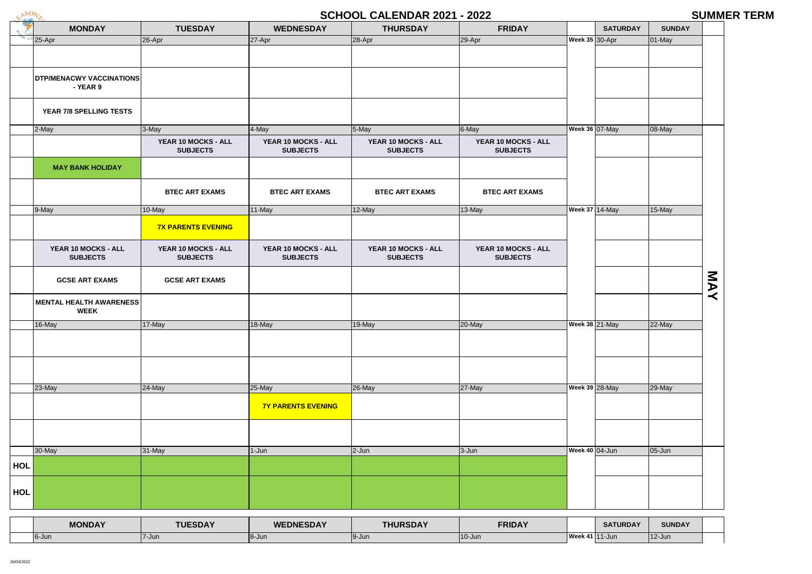

## **SCHOOL CALENDAR 2021 - 2022 SUMMER TERM**

|            |                                 |                           |                           | <u>UUNUUL UALLIIDAII LULT</u> | LVLL                  |                       |                 |               | UUITITI   |
|------------|---------------------------------|---------------------------|---------------------------|-------------------------------|-----------------------|-----------------------|-----------------|---------------|-----------|
|            | <b>MONDAY</b>                   | <b>TUESDAY</b>            | <b>WEDNESDAY</b>          | <b>THURSDAY</b>               | <b>FRIDAY</b>         |                       | <b>SATURDAY</b> | <b>SUNDAY</b> |           |
|            | $s c$ 25-Apr                    | $26-Apr$                  | $27-Apr$                  | 28-Apr                        | $29-Apr$              | <b>Week 35 30-Apr</b> |                 | $01$ -May     |           |
|            |                                 |                           |                           |                               |                       |                       |                 |               |           |
|            |                                 |                           |                           |                               |                       |                       |                 |               |           |
|            | <b>DTP/MENACWY VACCINATIONS</b> |                           |                           |                               |                       |                       |                 |               |           |
|            | - YEAR 9                        |                           |                           |                               |                       |                       |                 |               |           |
|            |                                 |                           |                           |                               |                       |                       |                 |               |           |
|            | YEAR 7/8 SPELLING TESTS         |                           |                           |                               |                       |                       |                 |               |           |
|            |                                 |                           |                           |                               |                       |                       |                 |               |           |
|            | 2-May                           | $3-May$                   | $4$ -May                  | 5-May                         | 6-May                 | <b>Week 36 07-May</b> |                 | 08-May        |           |
|            |                                 | YEAR 10 MOCKS - ALL       | YEAR 10 MOCKS - ALL       | YEAR 10 MOCKS - ALL           | YEAR 10 MOCKS - ALL   |                       |                 |               |           |
|            |                                 | <b>SUBJECTS</b>           | <b>SUBJECTS</b>           | <b>SUBJECTS</b>               | <b>SUBJECTS</b>       |                       |                 |               |           |
|            | <b>MAY BANK HOLIDAY</b>         |                           |                           |                               |                       |                       |                 |               |           |
|            |                                 |                           |                           |                               |                       |                       |                 |               |           |
|            |                                 | <b>BTEC ART EXAMS</b>     | <b>BTEC ART EXAMS</b>     | <b>BTEC ART EXAMS</b>         | <b>BTEC ART EXAMS</b> |                       |                 |               |           |
|            |                                 |                           |                           |                               |                       |                       |                 |               |           |
|            | 9-May                           | $10$ -May                 | 11-May                    | $12$ -May                     | 13-May                | <b>Week 37 14-May</b> |                 | 15-May        |           |
|            |                                 | <b>7X PARENTS EVENING</b> |                           |                               |                       |                       |                 |               |           |
|            |                                 |                           |                           |                               |                       |                       |                 |               |           |
|            | YEAR 10 MOCKS - ALL             | YEAR 10 MOCKS - ALL       | YEAR 10 MOCKS - ALL       | YEAR 10 MOCKS - ALL           | YEAR 10 MOCKS - ALL   |                       |                 |               |           |
|            | <b>SUBJECTS</b>                 | <b>SUBJECTS</b>           | <b>SUBJECTS</b>           | <b>SUBJECTS</b>               | <b>SUBJECTS</b>       |                       |                 |               |           |
|            |                                 |                           |                           |                               |                       |                       |                 |               |           |
|            | <b>GCSE ART EXAMS</b>           | <b>GCSE ART EXAMS</b>     |                           |                               |                       |                       |                 |               | <b>NA</b> |
|            |                                 |                           |                           |                               |                       |                       |                 |               | $\prec$   |
|            | <b>MENTAL HEALTH AWARENESS</b>  |                           |                           |                               |                       |                       |                 |               |           |
|            | <b>WEEK</b>                     |                           |                           |                               |                       |                       |                 |               |           |
|            | 16-May                          | $17$ -May                 | $18-May$                  | $19-May$                      | $20$ -May             | <b>Week 38 21-May</b> |                 | 22-May        |           |
|            |                                 |                           |                           |                               |                       |                       |                 |               |           |
|            |                                 |                           |                           |                               |                       |                       |                 |               |           |
|            |                                 |                           |                           |                               |                       |                       |                 |               |           |
|            |                                 |                           |                           |                               |                       |                       |                 |               |           |
|            |                                 |                           |                           |                               |                       |                       |                 |               |           |
|            | 23-May                          | $24$ -May                 | $25$ -May                 | $26$ -May                     | $27$ -May             | <b>Week 39 28-May</b> |                 | 29-May        |           |
|            |                                 |                           | <b>7Y PARENTS EVENING</b> |                               |                       |                       |                 |               |           |
|            |                                 |                           |                           |                               |                       |                       |                 |               |           |
|            |                                 |                           |                           |                               |                       |                       |                 |               |           |
|            |                                 |                           |                           |                               |                       |                       |                 |               |           |
|            | 30-May                          | $31$ -May                 | $1-Jun$                   | $2$ -Jun                      | $3-Jun$               | <b>Week 40 04-Jun</b> |                 | $05 - Jun$    |           |
| <b>HOL</b> |                                 |                           |                           |                               |                       |                       |                 |               |           |
|            |                                 |                           |                           |                               |                       |                       |                 |               |           |
|            |                                 |                           |                           |                               |                       |                       |                 |               |           |
| <b>HOL</b> |                                 |                           |                           |                               |                       |                       |                 |               |           |
|            |                                 |                           |                           |                               |                       |                       |                 |               |           |
|            |                                 |                           |                           |                               |                       |                       |                 |               |           |
|            | <b>MONDAY</b>                   | <b>TUESDAY</b>            | <b>WEDNESDAY</b>          | <b>THURSDAY</b>               | <b>FRIDAY</b>         |                       | <b>SATURDAY</b> | <b>SUNDAY</b> |           |

| <b>MONDAY</b> | <b>TUESDAY</b> | <b>WEDNESDAY</b> | <b>THURSDAY</b> | <b>FRIDAY</b> |                       | <b>SATURDAY</b> | <b>SU</b> |
|---------------|----------------|------------------|-----------------|---------------|-----------------------|-----------------|-----------|
| l6-Jun∖       | 7-Jun          | <b>18-Jun</b>    | 19-Jun          | $10$ -Jun     | <b>Week 41</b> 11-Jun |                 | $12$ -Jur |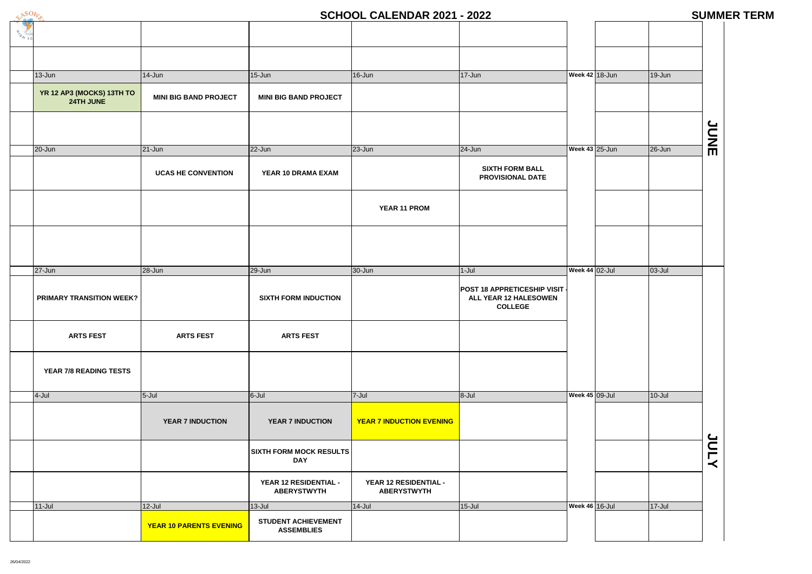# **SCHOOL CALENDAR 2021 - 2022 SUMMER TERM**

| <b>ICH SC</b> |                                        |                                |                                                 |                                             |                                                                               |                       |             |
|---------------|----------------------------------------|--------------------------------|-------------------------------------------------|---------------------------------------------|-------------------------------------------------------------------------------|-----------------------|-------------|
|               |                                        |                                |                                                 |                                             |                                                                               |                       |             |
|               | $13 - Jun$                             | $14$ -Jun                      | $15 - Jun$                                      | $16$ -Jun                                   | $17 - Jun$                                                                    | Week 42 18-Jun        | $19$ -Jur   |
|               | YR 12 AP3 (MOCKS) 13TH TO<br>24TH JUNE | <b>MINI BIG BAND PROJECT</b>   | <b>MINI BIG BAND PROJECT</b>                    |                                             |                                                                               |                       |             |
|               |                                        |                                |                                                 |                                             |                                                                               |                       |             |
|               | 20-Jun                                 | $21 - Jun$                     | $22 - Jun$                                      | $23 - Jun$                                  | $24$ -Jun                                                                     | Week 43 25-Jun        | 26-Jur      |
|               |                                        | <b>UCAS HE CONVENTION</b>      | YEAR 10 DRAMA EXAM                              |                                             | <b>SIXTH FORM BALL</b><br><b>PROVISIONAL DATE</b>                             |                       |             |
|               |                                        |                                |                                                 | YEAR 11 PROM                                |                                                                               |                       |             |
|               |                                        |                                |                                                 |                                             |                                                                               |                       |             |
|               | $27 - Jun$                             | 28-Jun                         | $29 - Jun$                                      | 30-Jun                                      | $1-Jul$                                                                       | Week 44 02-Jul        | $ 03 -$ Jul |
|               | <b>PRIMARY TRANSITION WEEK?</b>        |                                | <b>SIXTH FORM INDUCTION</b>                     |                                             | <b>POST 18 APPRETICESHIP VISIT</b><br>ALL YEAR 12 HALESOWEN<br><b>COLLEGE</b> |                       |             |
|               | <b>ARTS FEST</b>                       | <b>ARTS FEST</b>               | <b>ARTS FEST</b>                                |                                             |                                                                               |                       |             |
|               | YEAR 7/8 READING TESTS                 |                                |                                                 |                                             |                                                                               |                       |             |
|               | 4-Jul                                  | $5 -$ Jul                      | $6 -$ Jul                                       | $7 -$ Jul                                   | $8 -$ Jul                                                                     | <b>Week 45 09-Jul</b> | $10 -$ Jul  |
|               |                                        | <b>YEAR 7 INDUCTION</b>        | <b>YEAR 7 INDUCTION</b>                         | <b>YEAR 7 INDUCTION EVENING</b>             |                                                                               |                       |             |
|               |                                        |                                | <b>SIXTH FORM MOCK RESULTS</b><br><b>DAY</b>    |                                             |                                                                               |                       |             |
|               |                                        |                                | YEAR 12 RESIDENTIAL -<br><b>ABERYSTWYTH</b>     | YEAR 12 RESIDENTIAL -<br><b>ABERYSTWYTH</b> |                                                                               |                       |             |
|               | $11$ -Jul                              | $12$ -Jul                      | $13$ -Jul                                       | $14$ -Jul                                   | $15$ -Jul                                                                     | Week 46 16-Jul        | $17 -$ Jul  |
|               |                                        | <b>YEAR 10 PARENTS EVENING</b> | <b>STUDENT ACHIEVEMENT</b><br><b>ASSEMBLIES</b> |                                             |                                                                               |                       |             |

| $\overline{1}$ | 19-Jun     |             |
|----------------|------------|-------------|
|                |            |             |
|                |            |             |
|                |            |             |
| $\overline{ }$ | $26 - Jun$ | <b>SING</b> |
|                |            |             |
|                |            |             |
|                |            |             |
|                |            |             |
|                |            |             |
|                |            |             |
|                | $03 -$ Jul |             |
|                |            |             |
|                |            |             |
|                |            |             |
|                |            |             |
|                |            |             |
|                |            |             |
|                |            |             |
|                | $10 -$ Jul |             |
|                |            |             |
|                |            |             |
|                |            | <b>ATNC</b> |
|                |            |             |
|                |            |             |
|                | $17 -$ Jul |             |
|                |            |             |
|                |            |             |